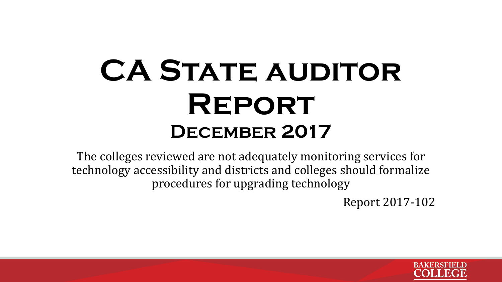# **CA STATE AUDITOR Report December 2017**

The colleges reviewed are not adequately monitoring services for technology accessibility and districts and colleges should formalize procedures for upgrading technology

Report 2017-102

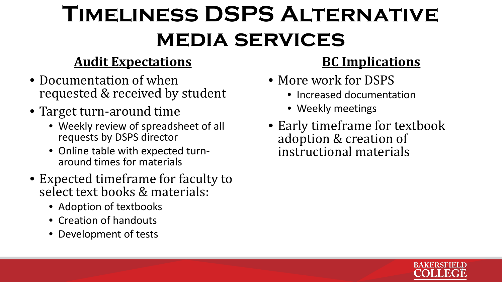# **Timeliness DSPS Alternative media services**

### **Audit Expectations**

- Documentation of when requested & received by student
- Target turn-around time
	- Weekly review of spreadsheet of all requests by DSPS director
	- Online table with expected turn- around times for materials
- Expected timeframe for faculty to select text books & materials:
	- Adoption of textbooks
	- Creation of handouts
	- Development of tests

- More work for DSPS
	- Increased documentation
	- Weekly meetings
- Early timeframe for textbook adoption & creation of instructional materials

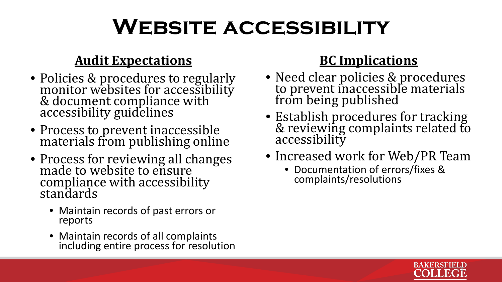## **Website accessibility**

### **Audit Expectations**

- Policies & procedures to regularly monitor websites for accessibility & document compliance with  $\frac{1}{2}$ accessibility guidelines
- Process to prevent inaccessible materials from publishing online
- Process for reviewing all changes made to website to ensure compliance with accessibility standards
	- Maintain records of past errors or reports
	- Maintain records of all complaints including entire process for resolution

- Need clear policies & procedures to prevent inaccessible materials from being published
- Establish procedures for tracking & reviewing complaints related to accessibility
- Increased work for Web/PR Team
	- Documentation of errors/fixes & complaints/resolutions

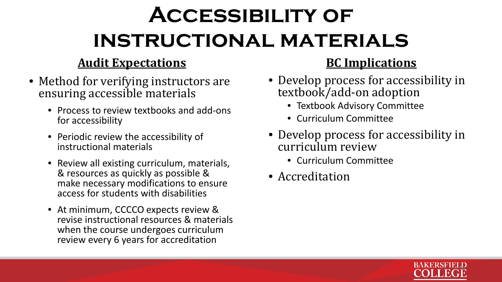# **Accessibility of instructional materials**

### **Audit Expectations**

- Method for verifying instructors are ensuring accessible materials
	- Process to review textbooks and add-ons for accessibility
	- Periodic review the accessibility of instructional materials
	- Review all existing curriculum, materials, & resources as quickly as possible & make necessary modifications to ensure access for students with disabilities
	- At minimum, CCCCO expects review & revise instructional resources & materials when the course undergoes curriculum review every 6 years for accreditation

- Develop process for accessibility in textbook/add-on adoption
	- Textbook Advisory Committee
	- Curriculum Committee
- Develop process for accessibility in curriculum review
	- Curriculum Committee
- Accreditation

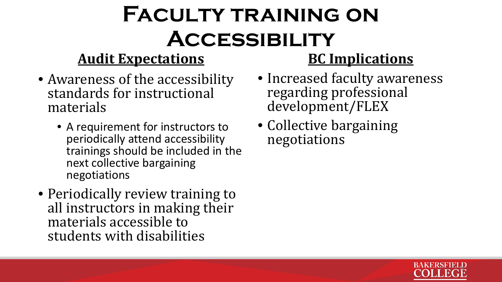# **Faculty training on Accessibility**

## **Audit Expectations**

- Awareness of the accessibility standards for instructional materials
	- A requirement for instructors to periodically attend accessibility trainings should be included in the next collective bargaining negotiations
- Periodically review training to all instructors in making their materials accessible to students with disabilities

- Increased faculty awareness regarding professional development/FLEX
- Collective bargaining negotiations

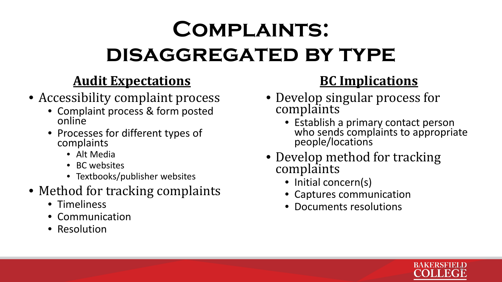# **Complaints: disaggregated by type**

### **Audit Expectations**

- Accessibility complaint process
	- Complaint process & form posted online
	- Processes for different types of complaints
		- Alt Media
		- BC websites
		- Textbooks/publisher websites
- Method for tracking complaints
	- Timeliness
	- Communication
	- Resolution

- Develop singular process for complaints
	- Establish a primary contact person who sends complaints to appropriate people/locations
- Develop method for tracking complaints
	- Initial concern(s)
	- Captures communication
	- Documents resolutions